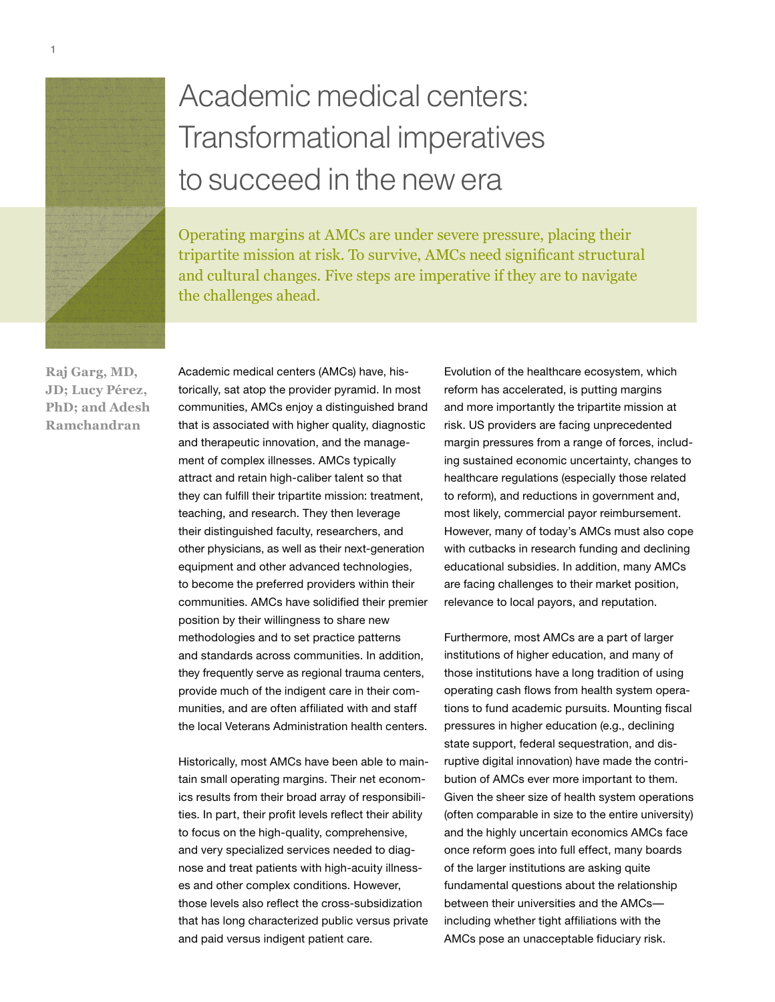

# Academic medical centers: Transformational imperatives to succeed in the new era

Operating margins at AMCs are under severe pressure, placing their tripartite mission at risk. To survive, AMCs need significant structural and cultural changes. Five steps are imperative if they are to navigate the challenges ahead.

**Raj Garg, MD, JD; Lucy Pérez, PhD; and Adesh Ramchandran**

Academic medical centers (AMCs) have, historically, sat atop the provider pyramid. In most communities, AMCs enjoy a distinguished brand that is associated with higher quality, diagnostic and therapeutic innovation, and the management of complex illnesses. AMCs typically attract and retain high-caliber talent so that they can fulfill their tripartite mission: treatment, teaching, and research. They then leverage their distinguished faculty, researchers, and other physicians, as well as their next-generation equipment and other advanced technologies, to become the preferred providers within their communities. AMCs have solidified their premier position by their willingness to share new methodologies and to set practice patterns and standards across communities. In addition, they frequently serve as regional trauma centers, provide much of the indigent care in their communities, and are often affiliated with and staff the local Veterans Administration health centers.

Historically, most AMCs have been able to maintain small operating margins. Their net economics results from their broad array of responsibilities. In part, their profit levels reflect their ability to focus on the high-quality, comprehensive, and very specialized services needed to diagnose and treat patients with high-acuity illnesses and other complex conditions. However, those levels also reflect the cross-subsidization that has long characterized public versus private and paid versus indigent patient care.

Evolution of the healthcare ecosystem, which reform has accelerated, is putting margins and more importantly the tripartite mission at risk. US providers are facing unprecedented margin pressures from a range of forces, including sustained economic uncertainty, changes to healthcare regulations (especially those related to reform), and reductions in government and, most likely, commercial payor reimbursement. However, many of today's AMCs must also cope with cutbacks in research funding and declining educational subsidies. In addition, many AMCs are facing challenges to their market position, relevance to local payors, and reputation.

Furthermore, most AMCs are a part of larger institutions of higher education, and many of those institutions have a long tradition of using operating cash flows from health system operations to fund academic pursuits. Mounting fiscal pressures in higher education (e.g., declining state support, federal sequestration, and disruptive digital innovation) have made the contribution of AMCs ever more important to them. Given the sheer size of health system operations (often comparable in size to the entire university) and the highly uncertain economics AMCs face once reform goes into full effect, many boards of the larger institutions are asking quite fundamental questions about the relationship between their universities and the AMCs including whether tight affiliations with the AMCs pose an unacceptable fiduciary risk.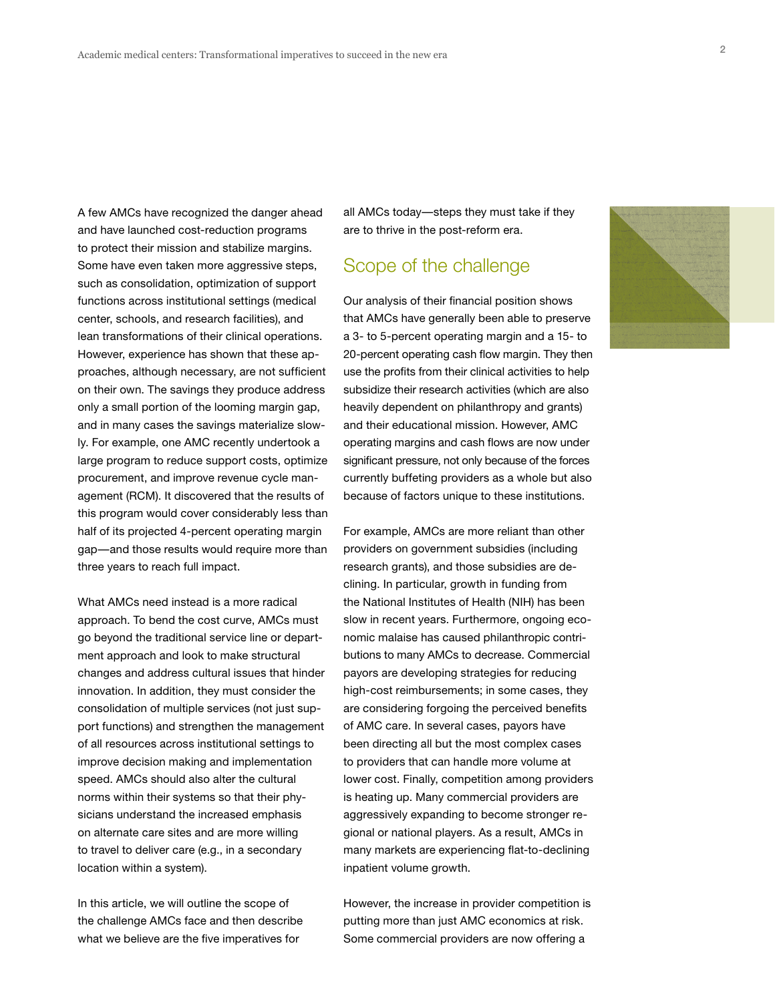A few AMCs have recognized the danger ahead and have launched cost-reduction programs to protect their mission and stabilize margins. Some have even taken more aggressive steps, such as consolidation, optimization of support functions across institutional settings (medical center, schools, and research facilities), and lean transformations of their clinical operations. However, experience has shown that these approaches, although necessary, are not sufficient on their own. The savings they produce address only a small portion of the looming margin gap, and in many cases the savings materialize slowly. For example, one AMC recently undertook a large program to reduce support costs, optimize procurement, and improve revenue cycle management (RCM). It discovered that the results of this program would cover considerably less than half of its projected 4-percent operating margin gap—and those results would require more than three years to reach full impact.

What AMCs need instead is a more radical approach. To bend the cost curve, AMCs must go beyond the traditional service line or department approach and look to make structural changes and address cultural issues that hinder innovation. In addition, they must consider the consolidation of multiple services (not just support functions) and strengthen the management of all resources across institutional settings to improve decision making and implementation speed. AMCs should also alter the cultural norms within their systems so that their physicians understand the increased emphasis on alternate care sites and are more willing to travel to deliver care (e.g., in a secondary location within a system).

In this article, we will outline the scope of the challenge AMCs face and then describe what we believe are the five imperatives for

all AMCs today—steps they must take if they are to thrive in the post-reform era.

# Scope of the challenge

Our analysis of their financial position shows that AMCs have generally been able to preserve a 3- to 5-percent operating margin and a 15- to 20-percent operating cash flow margin. They then use the profits from their clinical activities to help subsidize their research activities (which are also heavily dependent on philanthropy and grants) and their educational mission. However, AMC operating margins and cash flows are now under significant pressure, not only because of the forces currently buffeting providers as a whole but also because of factors unique to these institutions.

For example, AMCs are more reliant than other providers on government subsidies (including research grants), and those subsidies are declining. In particular, growth in funding from the National Institutes of Health (NIH) has been slow in recent years. Furthermore, ongoing economic malaise has caused philanthropic contributions to many AMCs to decrease. Commercial payors are developing strategies for reducing high-cost reimbursements; in some cases, they are considering forgoing the perceived benefits of AMC care. In several cases, payors have been directing all but the most complex cases to providers that can handle more volume at lower cost. Finally, competition among providers is heating up. Many commercial providers are aggressively expanding to become stronger regional or national players. As a result, AMCs in many markets are experiencing flat-to-declining inpatient volume growth.

However, the increase in provider competition is putting more than just AMC economics at risk. Some commercial providers are now offering a

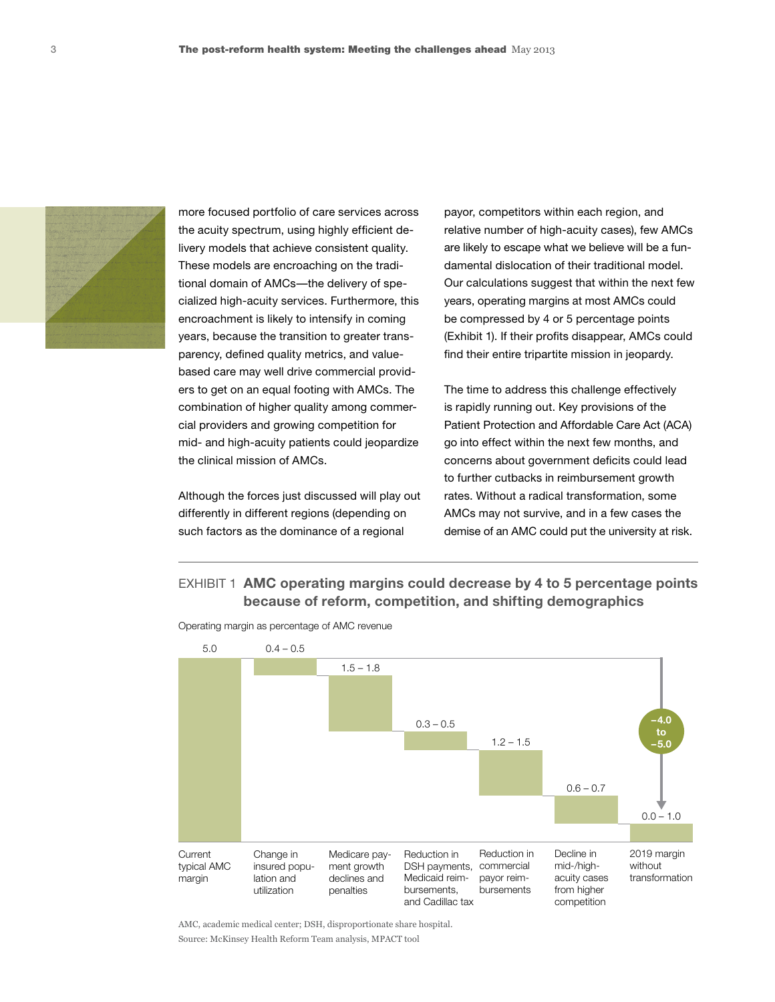

more focused portfolio of care services across the acuity spectrum, using highly efficient delivery models that achieve consistent quality. These models are encroaching on the traditional domain of AMCs—the delivery of specialized high-acuity services. Furthermore, this encroachment is likely to intensify in coming years, because the transition to greater transparency, defined quality metrics, and valuebased care may well drive commercial providers to get on an equal footing with AMCs. The combination of higher quality among commercial providers and growing competition for mid- and high-acuity patients could jeopardize the clinical mission of AMCs.<br>the clinical mission of AMCs. concerns about government

Although the forces just discussed will play out differently in different regions (depending on such factors as the dominance of a regional

payor, competitors within each region, and relative number of high-acuity cases), few AMCs are likely to escape what we believe will be a fundamental dislocation of their traditional model. Our calculations suggest that within the next few years, operating margins at most AMCs could be compressed by 4 or 5 percentage points (Exhibit 1). If their profits disappear, AMCs could find their entire tripartite mission in jeopardy.

The time to address this challenge effectively is rapidly running out. Key provisions of the Patient Protection and Affordable Care Act (ACA) go into effect within the next few months, and concerns about government deficits could lead to further cutbacks in reimbursement growth rates. Without a radical transformation, some AMCs may not survive, and in a few cases the demise of an AMC could put the university at risk.

# EXHIBIT 1 **AMC operating margins could decrease by 4 to 5 percentage points because of reform, competition, and shifting demographics**



Operating margin as percentage of AMC revenue

AMC, academic medical center; DSH, disproportionate share hospital. Source: McKinsey Health Reform Team analysis, MPACT tool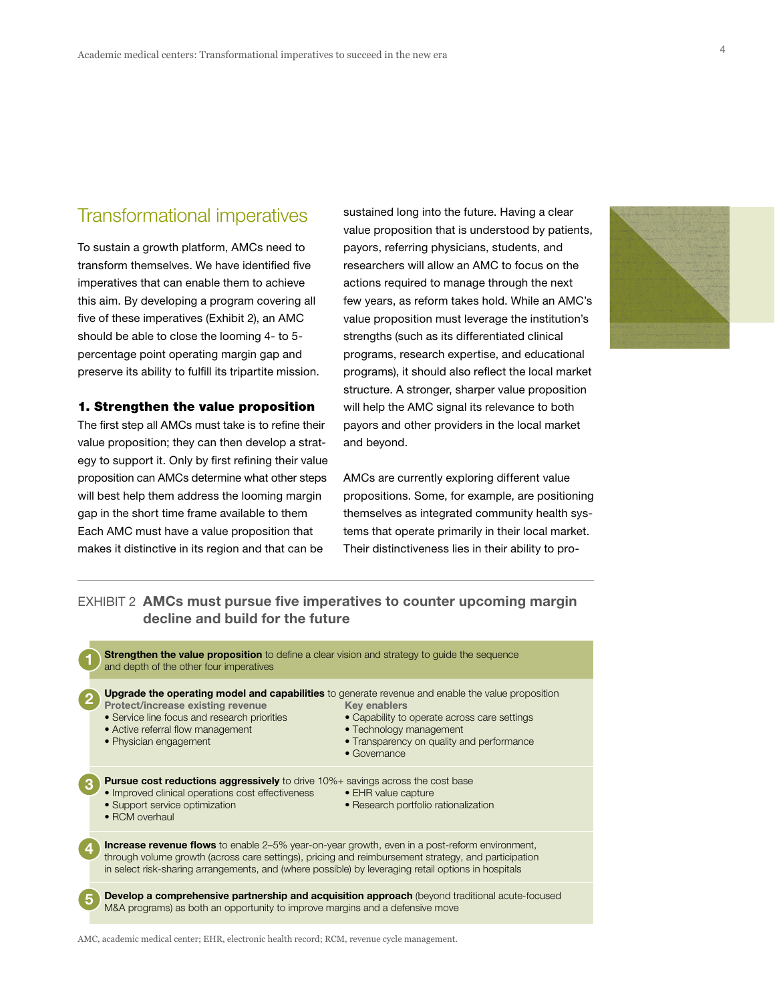# Transformational imperatives

To sustain a growth platform, AMCs need to transform themselves. We have identified five imperatives that can enable them to achieve this aim. By developing a program covering all five of these imperatives (Exhibit 2), an AMC should be able to close the looming 4- to 5percentage point operating margin gap and preserve its ability to fulfill its tripartite mission.

#### 1. Strengthen the value proposition

The first step all AMCs must take is to refine their value proposition; they can then develop a strategy to support it. Only by first refining their value proposition can AMCs determine what other steps AMCs are currently exploring proposition can AMCs determine what other steps will best help them address the looming margin and security distributions are the security management. Each AMC must have a value proposition that makes it distinctive in its region and that can be

sustained long into the future. Having a clear value proposition that is understood by patients, payors, referring physicians, students, and researchers will allow an AMC to focus on the actions required to manage through the next few years, as reform takes hold. While an AMC's value proposition must leverage the institution's strengths (such as its differentiated clinical programs, research expertise, and educational programs), it should also reflect the local market structure. A stronger, sharper value proposition will help the AMC signal its relevance to both payors and other providers in the local market and beyond.



AMCs are currently exploring different value propositions. Some, for example, are positioning themselves as integrated community health systems that operate primarily in their local market. Their distinctiveness lies in their ability to pro-

# EXHIBIT 2 **AMCs must pursue five imperatives to counter upcoming margin decline and build for the future**

| <b>Strengthen the value proposition</b> to define a clear vision and strategy to guide the sequence<br>and depth of the other four imperatives                                                                                                                                                                                                                                                                              |
|-----------------------------------------------------------------------------------------------------------------------------------------------------------------------------------------------------------------------------------------------------------------------------------------------------------------------------------------------------------------------------------------------------------------------------|
| <b>Upgrade the operating model and capabilities</b> to generate revenue and enable the value proposition<br>Protect/increase existing revenue<br><b>Key enablers</b><br>• Service line focus and research priorities<br>• Capability to operate across care settings<br>• Active referral flow management<br>• Technology management<br>• Physician engagement<br>• Transparency on quality and performance<br>• Governance |
| <b>Pursue cost reductions aggressively</b> to drive 10%+ savings across the cost base<br>• Improved clinical operations cost effectiveness<br>• EHR value capture<br>• Support service optimization<br>• Research portfolio rationalization<br>• RCM overhaul                                                                                                                                                               |
| <b>Increase revenue flows</b> to enable 2–5% year-on-year growth, even in a post-reform environment,<br>through volume growth (across care settings), pricing and reimbursement strategy, and participation<br>in select risk-sharing arrangements, and (where possible) by leveraging retail options in hospitals                                                                                                          |
| Develop a comprehensive partnership and acquisition approach (beyond traditional acute-focused<br>M&A programs) as both an opportunity to improve margins and a defensive move                                                                                                                                                                                                                                              |

AMC, academic medical center; EHR, electronic health record; RCM, revenue cycle management.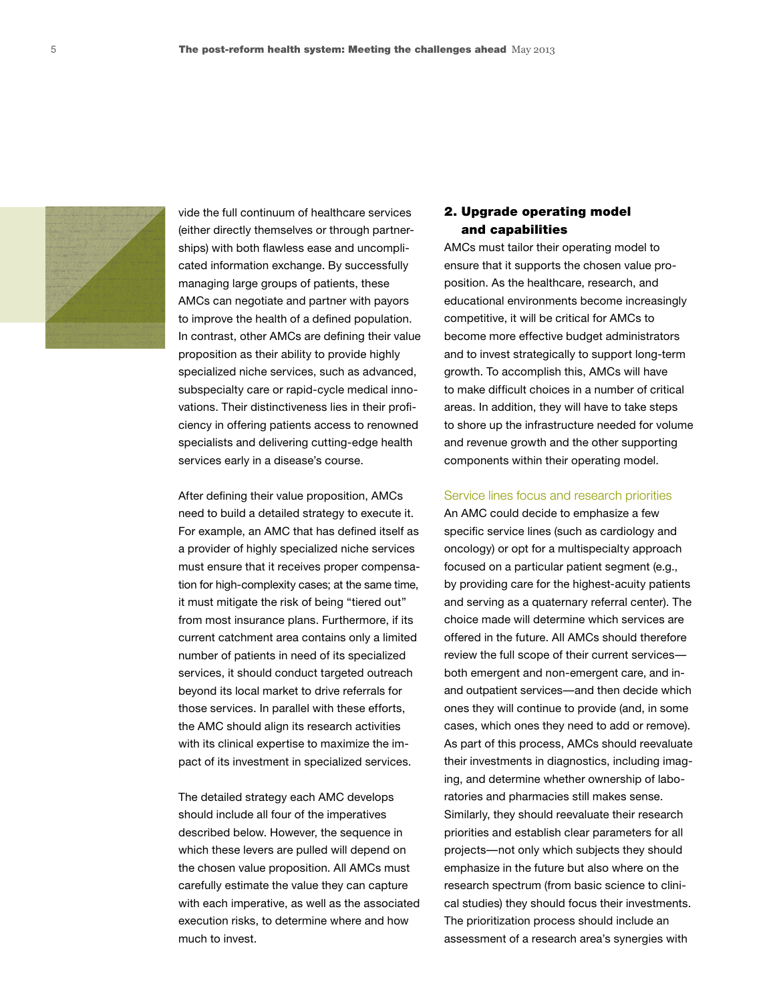

vide the full continuum of healthcare services (either directly themselves or through partnerships) with both flawless ease and uncomplicated information exchange. By successfully managing large groups of patients, these AMCs can negotiate and partner with payors to improve the health of a defined population. In contrast, other AMCs are defining their value proposition as their ability to provide highly specialized niche services, such as advanced, subspecialty care or rapid-cycle medical innovations. Their distinctiveness lies in their proficiency in offering patients access to renowned specialists and delivering cutting-edge health services early in a disease's course.

After defining their value proposition, AMCs need to build a detailed strategy to execute it. For example, an AMC that has defined itself as a provider of highly specialized niche services must ensure that it receives proper compensation for high-complexity cases; at the same time, it must mitigate the risk of being "tiered out" from most insurance plans. Furthermore, if its current catchment area contains only a limited number of patients in need of its specialized services, it should conduct targeted outreach beyond its local market to drive referrals for those services. In parallel with these efforts, the AMC should align its research activities with its clinical expertise to maximize the impact of its investment in specialized services.

The detailed strategy each AMC develops should include all four of the imperatives described below. However, the sequence in which these levers are pulled will depend on the chosen value proposition. All AMCs must carefully estimate the value they can capture with each imperative, as well as the associated execution risks, to determine where and how much to invest.

## 2. Upgrade operating model and capabilities

AMCs must tailor their operating model to ensure that it supports the chosen value proposition. As the healthcare, research, and educational environments become increasingly competitive, it will be critical for AMCs to become more effective budget administrators and to invest strategically to support long-term growth. To accomplish this, AMCs will have to make difficult choices in a number of critical areas. In addition, they will have to take steps to shore up the infrastructure needed for volume and revenue growth and the other supporting components within their operating model.

#### Service lines focus and research priorities

An AMC could decide to emphasize a few specific service lines (such as cardiology and oncology) or opt for a multispecialty approach focused on a particular patient segment (e.g., by providing care for the highest-acuity patients and serving as a quaternary referral center). The choice made will determine which services are offered in the future. All AMCs should therefore review the full scope of their current services both emergent and non-emergent care, and inand outpatient services—and then decide which ones they will continue to provide (and, in some cases, which ones they need to add or remove). As part of this process, AMCs should reevaluate their investments in diagnostics, including imaging, and determine whether ownership of laboratories and pharmacies still makes sense. Similarly, they should reevaluate their research priorities and establish clear parameters for all projects—not only which subjects they should emphasize in the future but also where on the research spectrum (from basic science to clinical studies) they should focus their investments. The prioritization process should include an assessment of a research area's synergies with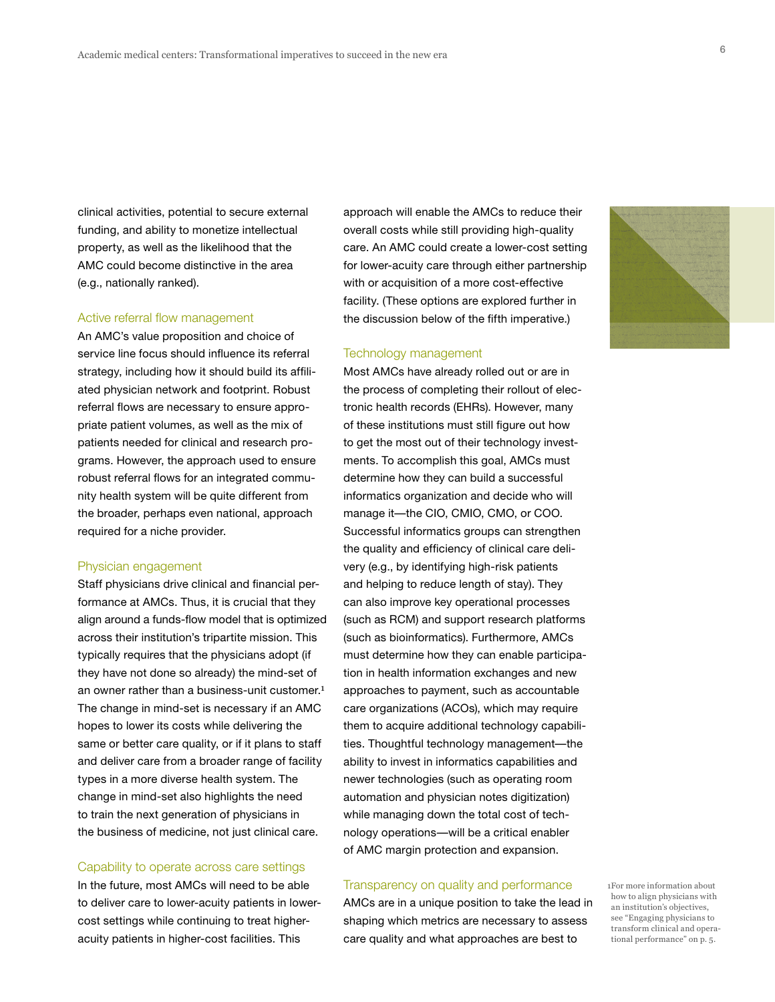clinical activities, potential to secure external funding, and ability to monetize intellectual property, as well as the likelihood that the AMC could become distinctive in the area (e.g., nationally ranked).

#### Active referral flow management

An AMC's value proposition and choice of service line focus should influence its referral strategy, including how it should build its affiliated physician network and footprint. Robust referral flows are necessary to ensure appropriate patient volumes, as well as the mix of patients needed for clinical and research programs. However, the approach used to ensure robust referral flows for an integrated community health system will be quite different from the broader, perhaps even national, approach required for a niche provider.

#### Physician engagement

Staff physicians drive clinical and financial performance at AMCs. Thus, it is crucial that they align around a funds-flow model that is optimized across their institution's tripartite mission. This typically requires that the physicians adopt (if they have not done so already) the mind-set of an owner rather than a business-unit customer.<sup>1</sup> The change in mind-set is necessary if an AMC hopes to lower its costs while delivering the same or better care quality, or if it plans to staff and deliver care from a broader range of facility types in a more diverse health system. The change in mind-set also highlights the need to train the next generation of physicians in the business of medicine, not just clinical care.

#### Capability to operate across care settings

In the future, most AMCs will need to be able to deliver care to lower-acuity patients in lowercost settings while continuing to treat higheracuity patients in higher-cost facilities. This

approach will enable the AMCs to reduce their overall costs while still providing high-quality care. An AMC could create a lower-cost setting for lower-acuity care through either partnership with or acquisition of a more cost-effective facility. (These options are explored further in the discussion below of the fifth imperative.)

#### Technology management

Most AMCs have already rolled out or are in the process of completing their rollout of electronic health records (EHRs). However, many of these institutions must still figure out how to get the most out of their technology investments. To accomplish this goal, AMCs must determine how they can build a successful informatics organization and decide who will manage it—the CIO, CMIO, CMO, or COO. Successful informatics groups can strengthen the quality and efficiency of clinical care delivery (e.g., by identifying high-risk patients and helping to reduce length of stay). They can also improve key operational processes (such as RCM) and support research platforms (such as bioinformatics). Furthermore, AMCs must determine how they can enable participation in health information exchanges and new approaches to payment, such as accountable care organizations (ACOs), which may require them to acquire additional technology capabilities. Thoughtful technology management—the ability to invest in informatics capabilities and newer technologies (such as operating room automation and physician notes digitization) while managing down the total cost of technology operations—will be a critical enabler of AMC margin protection and expansion.

#### Transparency on quality and performance

AMCs are in a unique position to take the lead in shaping which metrics are necessary to assess care quality and what approaches are best to

1For more information about how to align physicians with an institution's objectives, see "Engaging physicians to transform clinical and operational performance" on p. 5.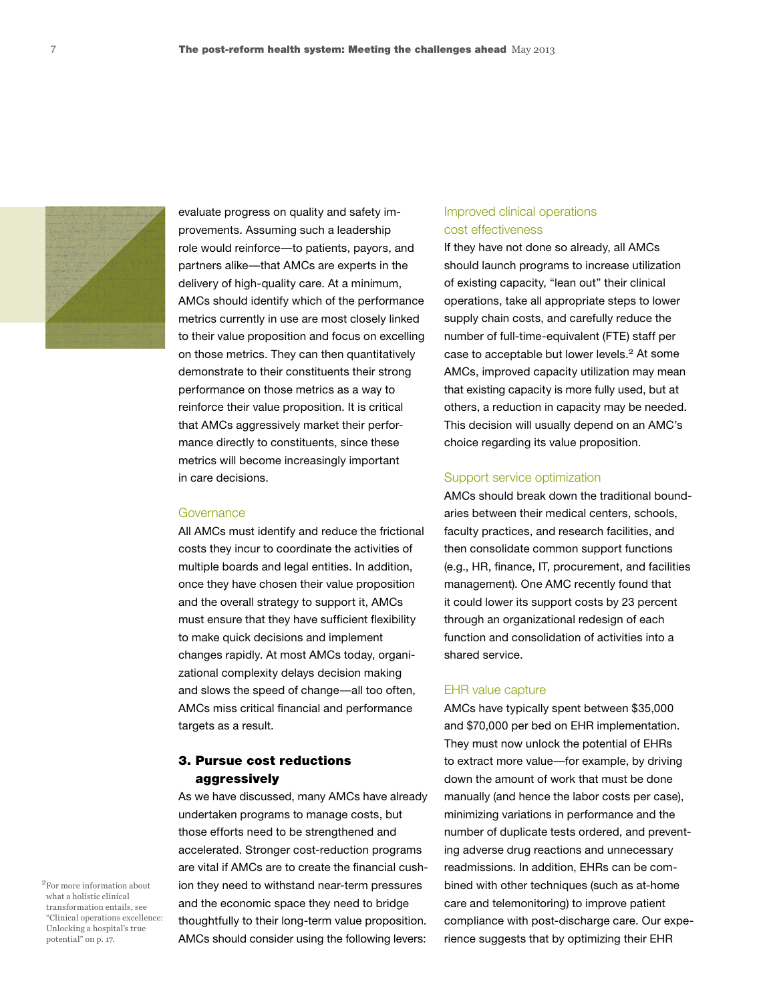

evaluate progress on quality and safety improvements. Assuming such a leadership role would reinforce—to patients, payors, and partners alike—that AMCs are experts in the delivery of high-quality care. At a minimum, AMCs should identify which of the performance metrics currently in use are most closely linked to their value proposition and focus on excelling on those metrics. They can then quantitatively demonstrate to their constituents their strong performance on those metrics as a way to reinforce their value proposition. It is critical that AMCs aggressively market their performance directly to constituents, since these metrics will become increasingly important in care decisions.

#### Governance

All AMCs must identify and reduce the frictional costs they incur to coordinate the activities of multiple boards and legal entities. In addition, once they have chosen their value proposition and the overall strategy to support it, AMCs must ensure that they have sufficient flexibility to make quick decisions and implement changes rapidly. At most AMCs today, organizational complexity delays decision making and slows the speed of change—all too often, AMCs miss critical financial and performance targets as a result.

### 3. Pursue cost reductions aggressively

As we have discussed, many AMCs have already undertaken programs to manage costs, but those efforts need to be strengthened and accelerated. Stronger cost-reduction programs are vital if AMCs are to create the financial cushion they need to withstand near-term pressures and the economic space they need to bridge thoughtfully to their long-term value proposition. AMCs should consider using the following levers:

## Improved clinical operations cost effectiveness

If they have not done so already, all AMCs should launch programs to increase utilization of existing capacity, "lean out" their clinical operations, take all appropriate steps to lower supply chain costs, and carefully reduce the number of full-time-equivalent (FTE) staff per case to acceptable but lower levels.<sup>2</sup> At some AMCs, improved capacity utilization may mean that existing capacity is more fully used, but at others, a reduction in capacity may be needed. This decision will usually depend on an AMC's choice regarding its value proposition.

#### Support service optimization

AMCs should break down the traditional boundaries between their medical centers, schools, faculty practices, and research facilities, and then consolidate common support functions (e.g., HR, finance, IT, procurement, and facilities management). One AMC recently found that it could lower its support costs by 23 percent through an organizational redesign of each function and consolidation of activities into a shared service.

#### EHR value capture

AMCs have typically spent between \$35,000 and \$70,000 per bed on EHR implementation. They must now unlock the potential of EHRs to extract more value—for example, by driving down the amount of work that must be done manually (and hence the labor costs per case), minimizing variations in performance and the number of duplicate tests ordered, and preventing adverse drug reactions and unnecessary readmissions. In addition, EHRs can be combined with other techniques (such as at-home care and telemonitoring) to improve patient compliance with post-discharge care. Our experience suggests that by optimizing their EHR

2For more information about what a holistic clinical transformation entails, see "Clinical operations excellence: Unlocking a hospital's true potential" on p. 17.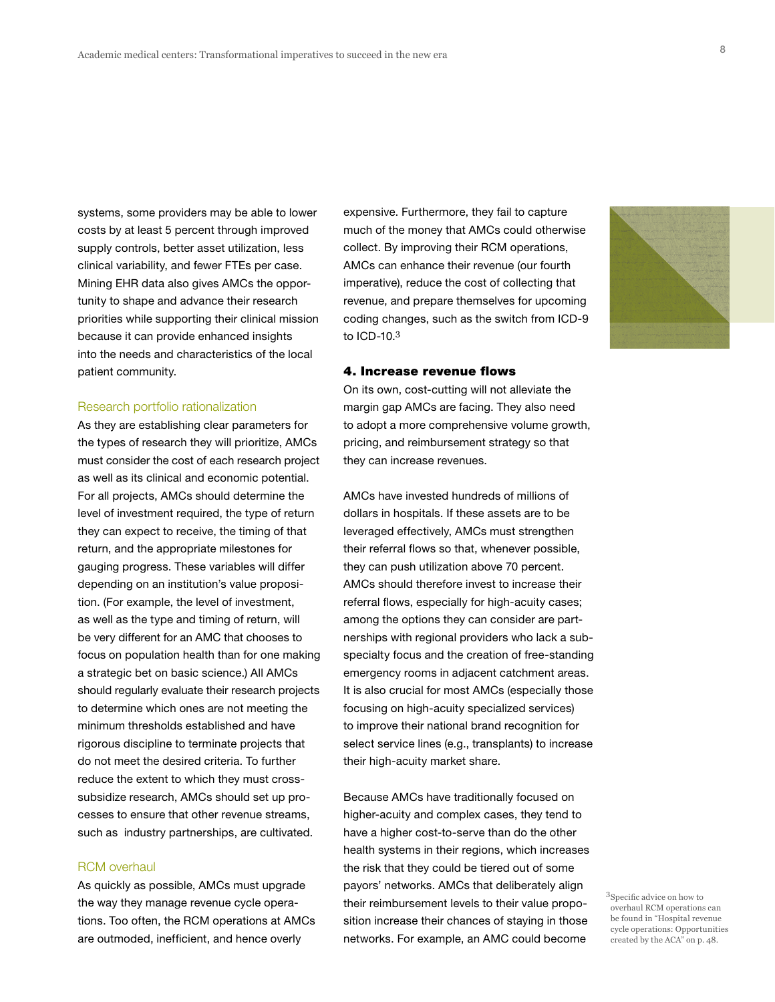systems, some providers may be able to lower costs by at least 5 percent through improved supply controls, better asset utilization, less clinical variability, and fewer FTEs per case. Mining EHR data also gives AMCs the opportunity to shape and advance their research priorities while supporting their clinical mission because it can provide enhanced insights into the needs and characteristics of the local patient community.

#### Research portfolio rationalization

As they are establishing clear parameters for the types of research they will prioritize, AMCs must consider the cost of each research project as well as its clinical and economic potential. For all projects, AMCs should determine the level of investment required, the type of return they can expect to receive, the timing of that return, and the appropriate milestones for gauging progress. These variables will differ depending on an institution's value proposition. (For example, the level of investment, as well as the type and timing of return, will be very different for an AMC that chooses to focus on population health than for one making a strategic bet on basic science.) All AMCs should regularly evaluate their research projects to determine which ones are not meeting the minimum thresholds established and have rigorous discipline to terminate projects that do not meet the desired criteria. To further reduce the extent to which they must crosssubsidize research, AMCs should set up processes to ensure that other revenue streams, such as industry partnerships, are cultivated.

#### RCM overhaul

As quickly as possible, AMCs must upgrade the way they manage revenue cycle operations. Too often, the RCM operations at AMCs are outmoded, inefficient, and hence overly

expensive. Furthermore, they fail to capture much of the money that AMCs could otherwise collect. By improving their RCM operations, AMCs can enhance their revenue (our fourth imperative), reduce the cost of collecting that revenue, and prepare themselves for upcoming coding changes, such as the switch from ICD-9 to ICD-10.<sup>3</sup>

#### 4. Increase revenue flows

On its own, cost-cutting will not alleviate the margin gap AMCs are facing. They also need to adopt a more comprehensive volume growth, pricing, and reimbursement strategy so that they can increase revenues.

AMCs have invested hundreds of millions of dollars in hospitals. If these assets are to be leveraged effectively, AMCs must strengthen their referral flows so that, whenever possible, they can push utilization above 70 percent. AMCs should therefore invest to increase their referral flows, especially for high-acuity cases; among the options they can consider are partnerships with regional providers who lack a subspecialty focus and the creation of free-standing emergency rooms in adjacent catchment areas. It is also crucial for most AMCs (especially those focusing on high-acuity specialized services) to improve their national brand recognition for select service lines (e.g., transplants) to increase their high-acuity market share.

Because AMCs have traditionally focused on higher-acuity and complex cases, they tend to have a higher cost-to-serve than do the other health systems in their regions, which increases the risk that they could be tiered out of some payors' networks. AMCs that deliberately align their reimbursement levels to their value proposition increase their chances of staying in those networks. For example, an AMC could become

<sup>3</sup>Specific advice on how to overhaul RCM operations can be found in "Hospital revenue cycle operations: Opportunities created by the ACA" on p. 48.

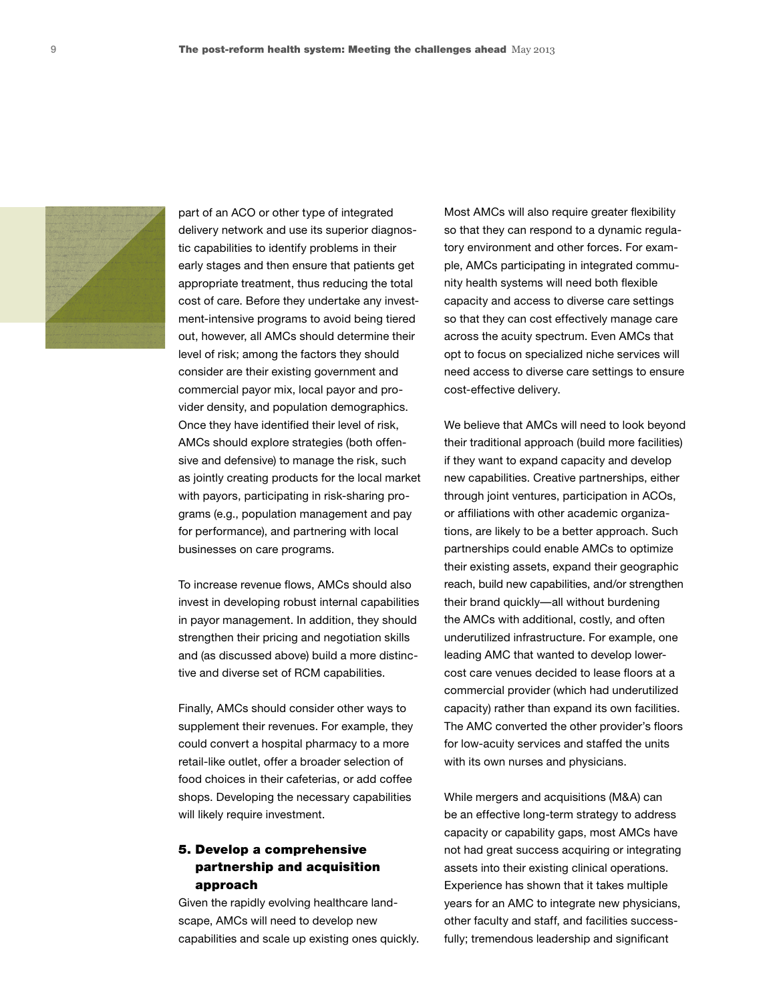

part of an ACO or other type of integrated delivery network and use its superior diagnostic capabilities to identify problems in their early stages and then ensure that patients get appropriate treatment, thus reducing the total cost of care. Before they undertake any investment-intensive programs to avoid being tiered out, however, all AMCs should determine their level of risk; among the factors they should consider are their existing government and commercial payor mix, local payor and provider density, and population demographics. Once they have identified their level of risk, AMCs should explore strategies (both offensive and defensive) to manage the risk, such as jointly creating products for the local market with payors, participating in risk-sharing programs (e.g., population management and pay for performance), and partnering with local businesses on care programs.

To increase revenue flows, AMCs should also invest in developing robust internal capabilities in payor management. In addition, they should strengthen their pricing and negotiation skills and (as discussed above) build a more distinctive and diverse set of RCM capabilities.

Finally, AMCs should consider other ways to supplement their revenues. For example, they could convert a hospital pharmacy to a more retail-like outlet, offer a broader selection of food choices in their cafeterias, or add coffee shops. Developing the necessary capabilities will likely require investment.

# 5. Develop a comprehensive partnership and acquisition approach

Given the rapidly evolving healthcare landscape, AMCs will need to develop new capabilities and scale up existing ones quickly. Most AMCs will also require greater flexibility so that they can respond to a dynamic regulatory environment and other forces. For example, AMCs participating in integrated community health systems will need both flexible capacity and access to diverse care settings so that they can cost effectively manage care across the acuity spectrum. Even AMCs that opt to focus on specialized niche services will need access to diverse care settings to ensure cost-effective delivery.

We believe that AMCs will need to look beyond their traditional approach (build more facilities) if they want to expand capacity and develop new capabilities. Creative partnerships, either through joint ventures, participation in ACOs, or affiliations with other academic organizations, are likely to be a better approach. Such partnerships could enable AMCs to optimize their existing assets, expand their geographic reach, build new capabilities, and/or strengthen their brand quickly—all without burdening the AMCs with additional, costly, and often underutilized infrastructure. For example, one leading AMC that wanted to develop lowercost care venues decided to lease floors at a commercial provider (which had underutilized capacity) rather than expand its own facilities. The AMC converted the other provider's floors for low-acuity services and staffed the units with its own nurses and physicians.

While mergers and acquisitions (M&A) can be an effective long-term strategy to address capacity or capability gaps, most AMCs have not had great success acquiring or integrating assets into their existing clinical operations. Experience has shown that it takes multiple years for an AMC to integrate new physicians, other faculty and staff, and facilities successfully; tremendous leadership and significant